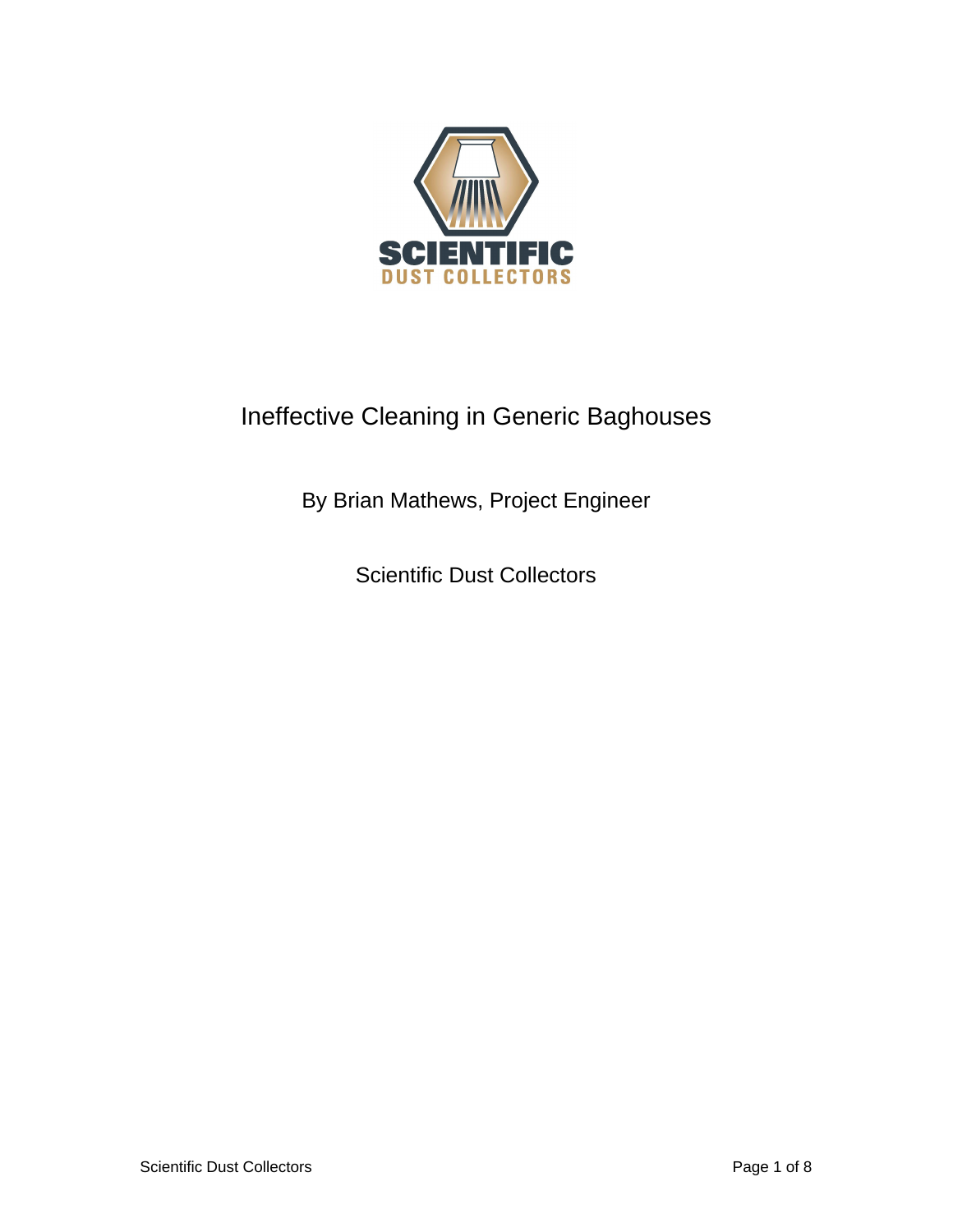

# Ineffective Cleaning in Generic Baghouses

By Brian Mathews, Project Engineer

Scientific Dust Collectors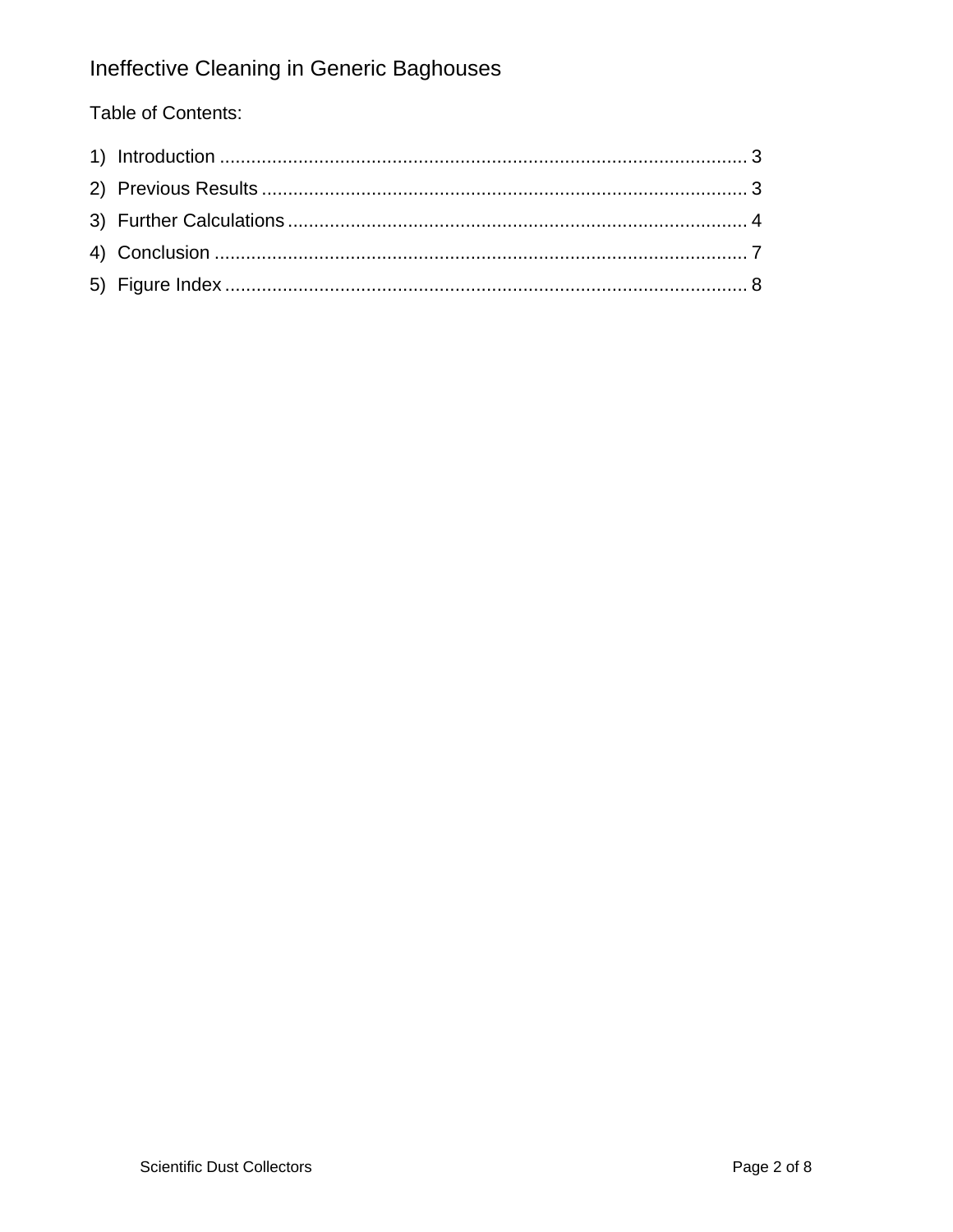## Ineffective Cleaning in Generic Baghouses

### Table of Contents: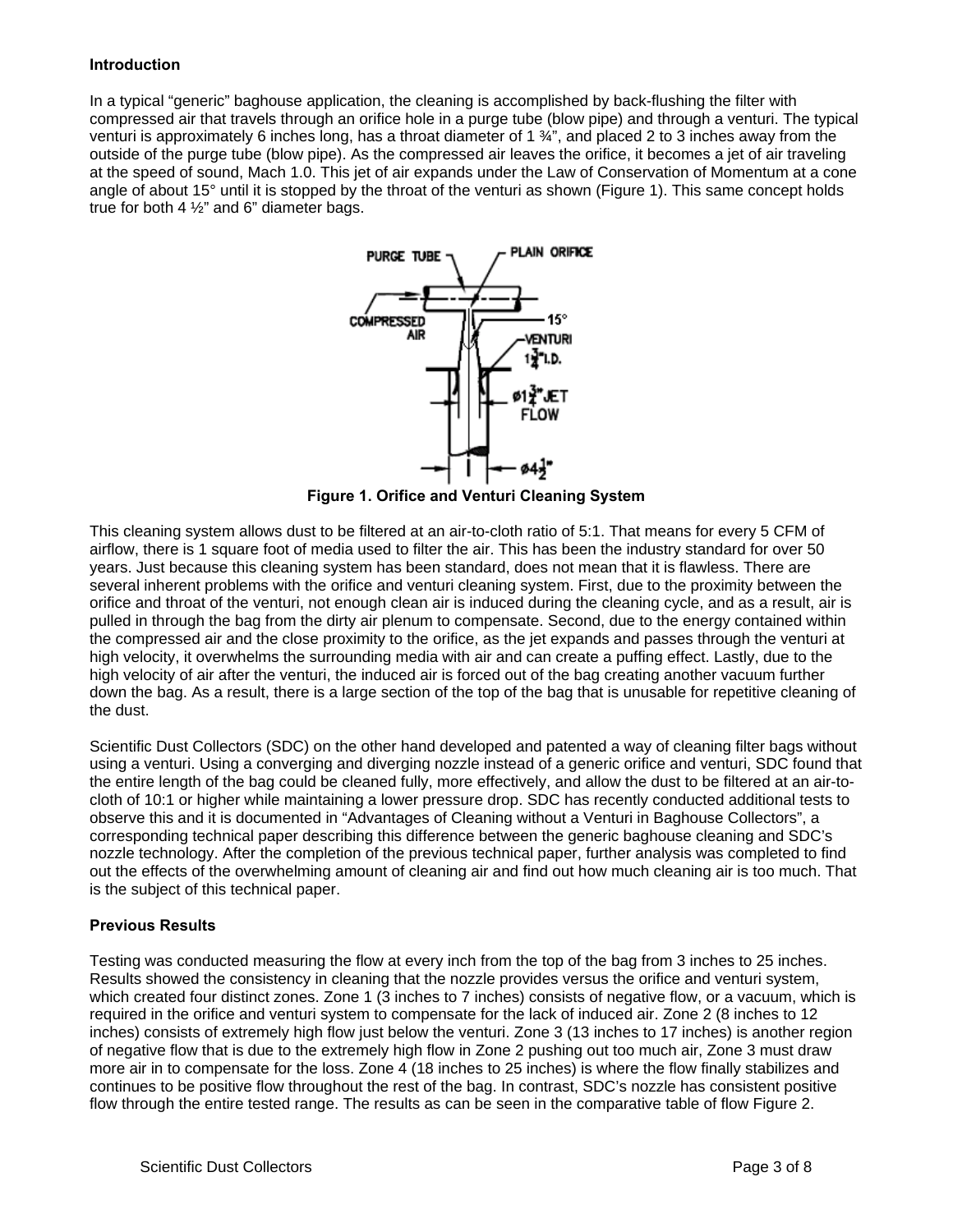#### **Introduction**

In a typical "generic" baghouse application, the cleaning is accomplished by back-flushing the filter with compressed air that travels through an orifice hole in a purge tube (blow pipe) and through a venturi. The typical venturi is approximately 6 inches long, has a throat diameter of 1 ¾", and placed 2 to 3 inches away from the outside of the purge tube (blow pipe). As the compressed air leaves the orifice, it becomes a jet of air traveling at the speed of sound, Mach 1.0. This jet of air expands under the Law of Conservation of Momentum at a cone angle of about 15° until it is stopped by the throat of the venturi as shown (Figure 1). This same concept holds true for both 4 ½" and 6" diameter bags.



**Figure 1. Orifice and Venturi Cleaning System** 

This cleaning system allows dust to be filtered at an air-to-cloth ratio of 5:1. That means for every 5 CFM of airflow, there is 1 square foot of media used to filter the air. This has been the industry standard for over 50 years. Just because this cleaning system has been standard, does not mean that it is flawless. There are several inherent problems with the orifice and venturi cleaning system. First, due to the proximity between the orifice and throat of the venturi, not enough clean air is induced during the cleaning cycle, and as a result, air is pulled in through the bag from the dirty air plenum to compensate. Second, due to the energy contained within the compressed air and the close proximity to the orifice, as the jet expands and passes through the venturi at high velocity, it overwhelms the surrounding media with air and can create a puffing effect. Lastly, due to the high velocity of air after the venturi, the induced air is forced out of the bag creating another vacuum further down the bag. As a result, there is a large section of the top of the bag that is unusable for repetitive cleaning of the dust.

Scientific Dust Collectors (SDC) on the other hand developed and patented a way of cleaning filter bags without using a venturi. Using a converging and diverging nozzle instead of a generic orifice and venturi, SDC found that the entire length of the bag could be cleaned fully, more effectively, and allow the dust to be filtered at an air-tocloth of 10:1 or higher while maintaining a lower pressure drop. SDC has recently conducted additional tests to observe this and it is documented in "Advantages of Cleaning without a Venturi in Baghouse Collectors", a corresponding technical paper describing this difference between the generic baghouse cleaning and SDC's nozzle technology. After the completion of the previous technical paper, further analysis was completed to find out the effects of the overwhelming amount of cleaning air and find out how much cleaning air is too much. That is the subject of this technical paper.

#### **Previous Results**

Testing was conducted measuring the flow at every inch from the top of the bag from 3 inches to 25 inches. Results showed the consistency in cleaning that the nozzle provides versus the orifice and venturi system, which created four distinct zones. Zone 1 (3 inches to 7 inches) consists of negative flow, or a vacuum, which is required in the orifice and venturi system to compensate for the lack of induced air. Zone 2 (8 inches to 12 inches) consists of extremely high flow just below the venturi. Zone 3 (13 inches to 17 inches) is another region of negative flow that is due to the extremely high flow in Zone 2 pushing out too much air, Zone 3 must draw more air in to compensate for the loss. Zone 4 (18 inches to 25 inches) is where the flow finally stabilizes and continues to be positive flow throughout the rest of the bag. In contrast, SDC's nozzle has consistent positive flow through the entire tested range. The results as can be seen in the comparative table of flow Figure 2.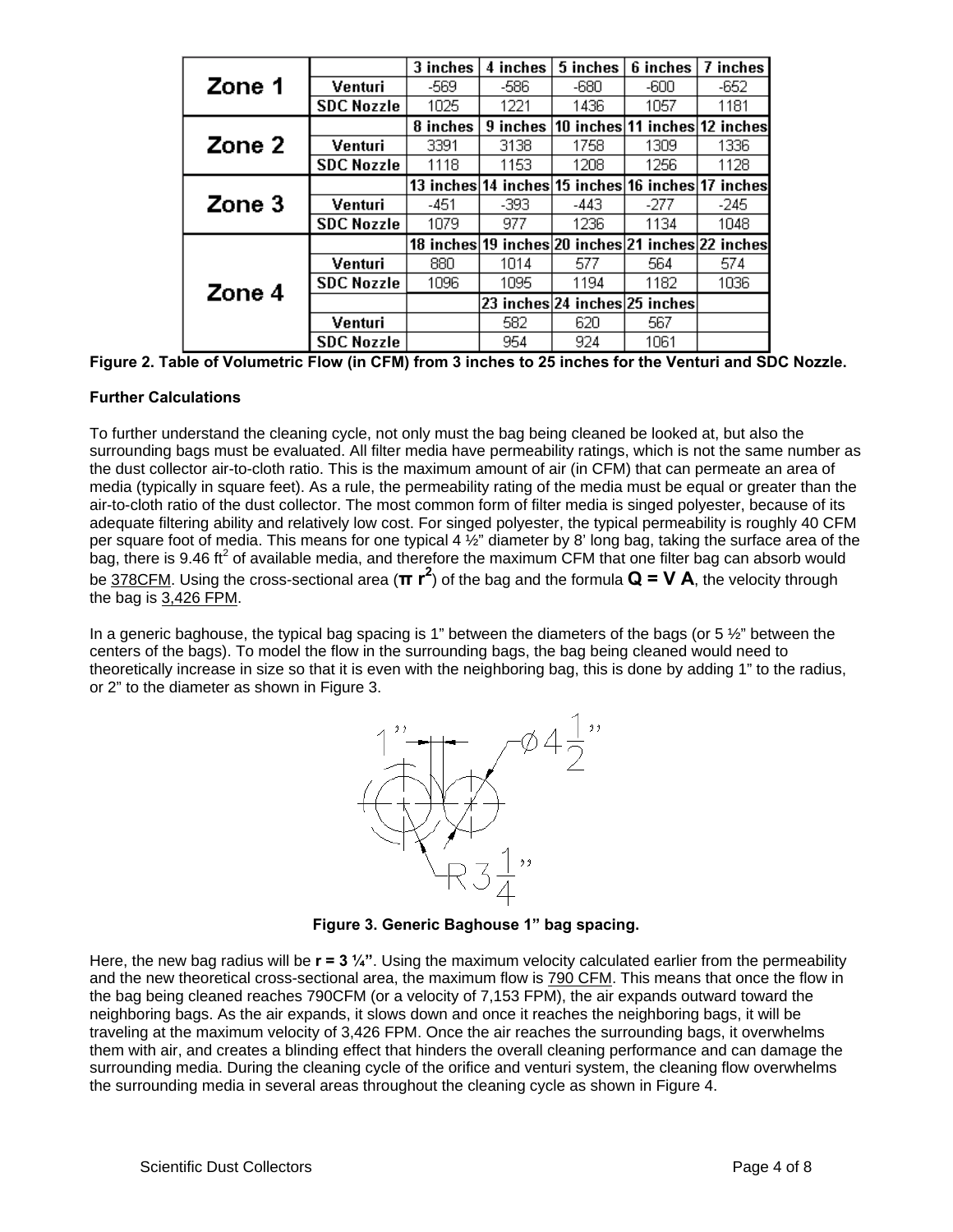|        |                   | 3 inches | 4 inches                                          | 5 inches                      | 6 inches                      | 7 inches |
|--------|-------------------|----------|---------------------------------------------------|-------------------------------|-------------------------------|----------|
| Zone 1 | Venturi           | -569     | -586                                              | -680                          | -600                          | -652     |
|        | <b>SDC Nozzle</b> | 1025     | 1221                                              | 1436                          | 1057                          | 1181     |
|        |                   | 8 inches | 9 inches                                          |                               | 10 inches 11 inches 12 inches |          |
| Zone 2 | Venturi           | 3391     | 3138                                              | 1758                          | 1309                          | 1336     |
|        | <b>SDC Nozzle</b> | 1118     | 1153.                                             | 1208                          | 1256                          | 1128     |
|        |                   |          | 13 inches 14 inches 15 inches 16 inches 17        |                               |                               | inches   |
| Zone 3 | Venturi           | -451     | -393                                              | -443                          | $-277$                        | $-245$   |
|        | <b>SDC Nozzle</b> | 1079     | 977                                               | 1236                          | 1134                          | 1048     |
|        |                   |          | 18 inches 19 inches 20 inches 21 inches 22 inches |                               |                               |          |
|        | Venturi           | 880      | 1014                                              | 577                           | 564                           | 574      |
| Zone 4 | <b>SDC Nozzle</b> | 1096     | 1095                                              | 1194                          | 1182                          | 1036     |
|        |                   |          |                                                   | 23 inches 24 inches 25 inches |                               |          |
|        | Venturi           |          | 582                                               | 620                           | 567                           |          |
|        | <b>SDC Nozzle</b> |          | 954                                               | 924                           | 1061                          |          |

**Figure 2. Table of Volumetric Flow (in CFM) from 3 inches to 25 inches for the Venturi and SDC Nozzle.** 

#### **Further Calculations**

To further understand the cleaning cycle, not only must the bag being cleaned be looked at, but also the surrounding bags must be evaluated. All filter media have permeability ratings, which is not the same number as the dust collector air-to-cloth ratio. This is the maximum amount of air (in CFM) that can permeate an area of media (typically in square feet). As a rule, the permeability rating of the media must be equal or greater than the air-to-cloth ratio of the dust collector. The most common form of filter media is singed polyester, because of its adequate filtering ability and relatively low cost. For singed polyester, the typical permeability is roughly 40 CFM per square foot of media. This means for one typical 4  $\frac{1}{2}$ " diameter by 8' long bag, taking the surface area of the bag, there is 9.46 ft<sup>2</sup> of available media, and therefore the maximum CFM that one filter bag can absorb would be 378CFM. Using the cross-sectional area (**π r<sup>2</sup>** ) of the bag and the formula **Q = V A**, the velocity through the bag is 3,426 FPM.

In a generic baghouse, the typical bag spacing is 1" between the diameters of the bags (or 5  $\frac{1}{2}$ " between the centers of the bags). To model the flow in the surrounding bags, the bag being cleaned would need to theoretically increase in size so that it is even with the neighboring bag, this is done by adding 1" to the radius, or 2" to the diameter as shown in Figure 3.



**Figure 3. Generic Baghouse 1" bag spacing.** 

Here, the new bag radius will be **r = 3 ¼"**. Using the maximum velocity calculated earlier from the permeability and the new theoretical cross-sectional area, the maximum flow is 790 CFM. This means that once the flow in the bag being cleaned reaches 790CFM (or a velocity of 7,153 FPM), the air expands outward toward the neighboring bags. As the air expands, it slows down and once it reaches the neighboring bags, it will be traveling at the maximum velocity of 3,426 FPM. Once the air reaches the surrounding bags, it overwhelms them with air, and creates a blinding effect that hinders the overall cleaning performance and can damage the surrounding media. During the cleaning cycle of the orifice and venturi system, the cleaning flow overwhelms the surrounding media in several areas throughout the cleaning cycle as shown in Figure 4.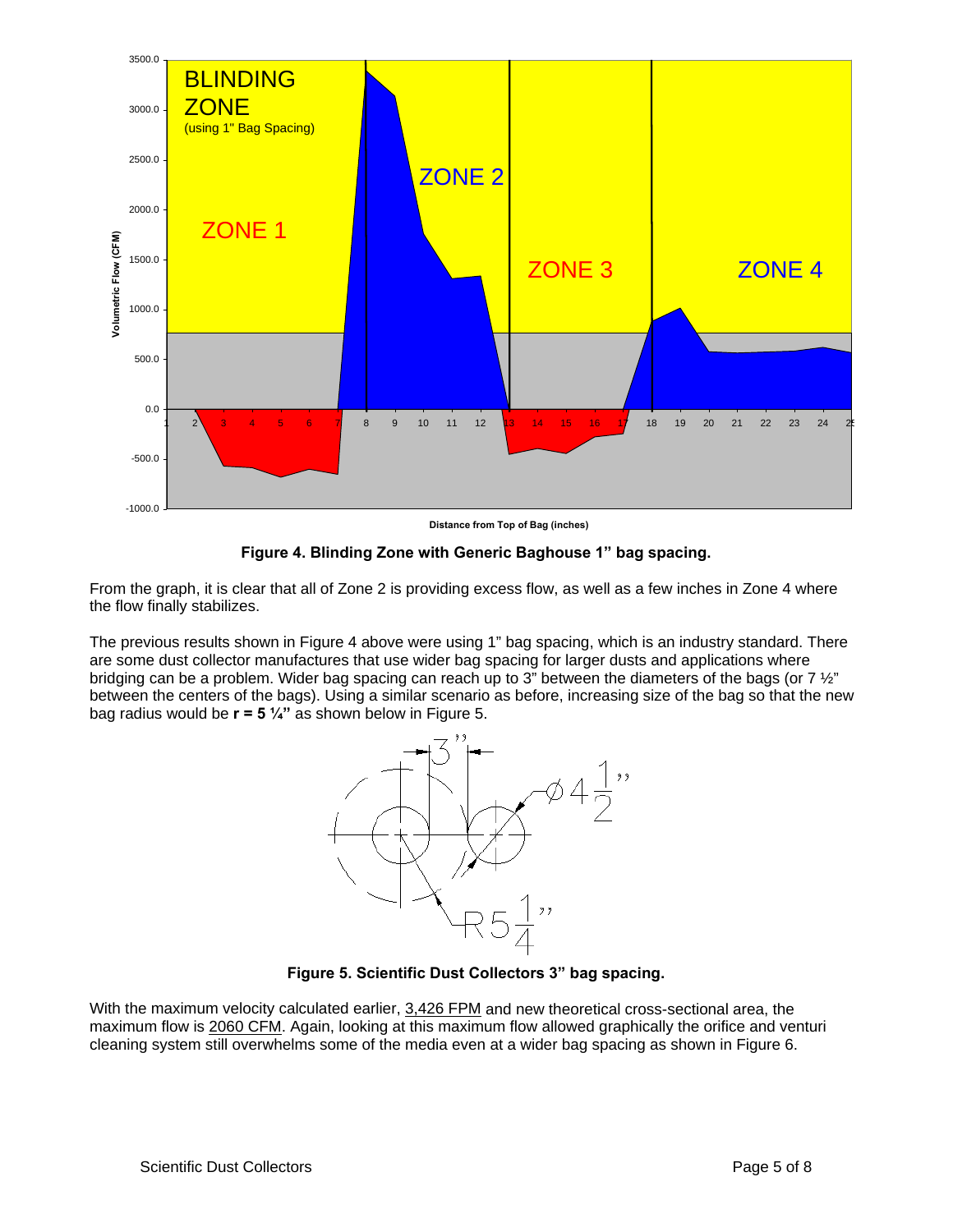

**Distance from Top of Bag (inches)**

**Figure 4. Blinding Zone with Generic Baghouse 1" bag spacing.** 

From the graph, it is clear that all of Zone 2 is providing excess flow, as well as a few inches in Zone 4 where the flow finally stabilizes.

The previous results shown in Figure 4 above were using 1" bag spacing, which is an industry standard. There are some dust collector manufactures that use wider bag spacing for larger dusts and applications where bridging can be a problem. Wider bag spacing can reach up to 3" between the diameters of the bags (or 7  $\frac{1}{2}$ " between the centers of the bags). Using a similar scenario as before, increasing size of the bag so that the new bag radius would be **r = 5 ¼"** as shown below in Figure 5.



**Figure 5. Scientific Dust Collectors 3" bag spacing.** 

With the maximum velocity calculated earlier, 3,426 FPM and new theoretical cross-sectional area, the maximum flow is 2060 CFM. Again, looking at this maximum flow allowed graphically the orifice and venturi cleaning system still overwhelms some of the media even at a wider bag spacing as shown in Figure 6.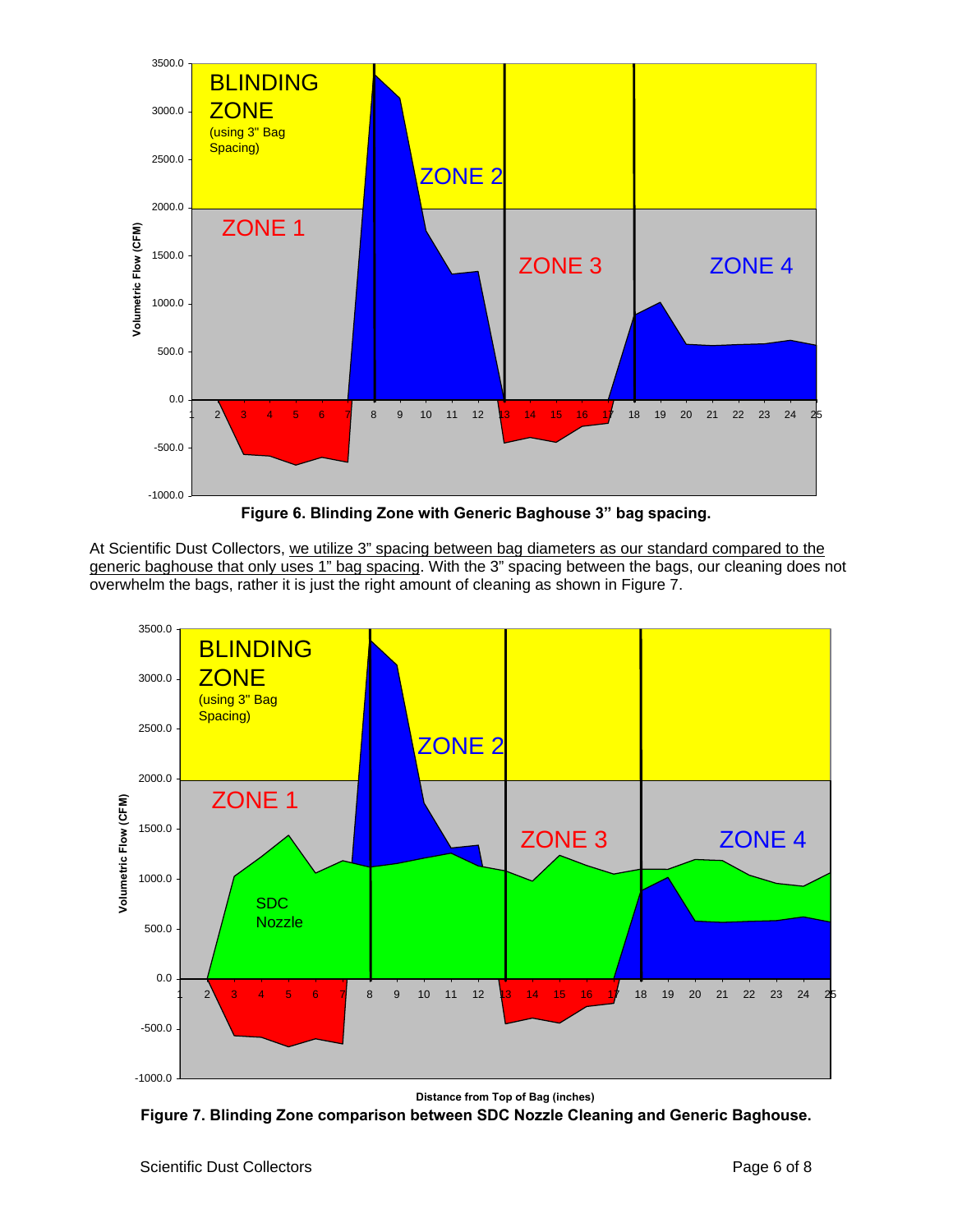

**Figure 6. Blinding Zone with Generic Baghouse 3" bag spacing.** 

At Scientific Dust Collectors, we utilize 3" spacing between bag diameters as our standard compared to the generic baghouse that only uses 1" bag spacing. With the 3" spacing between the bags, our cleaning does not overwhelm the bags, rather it is just the right amount of cleaning as shown in Figure 7.



**Distance from Top of Bag (inches)**

**Figure 7. Blinding Zone comparison between SDC Nozzle Cleaning and Generic Baghouse.**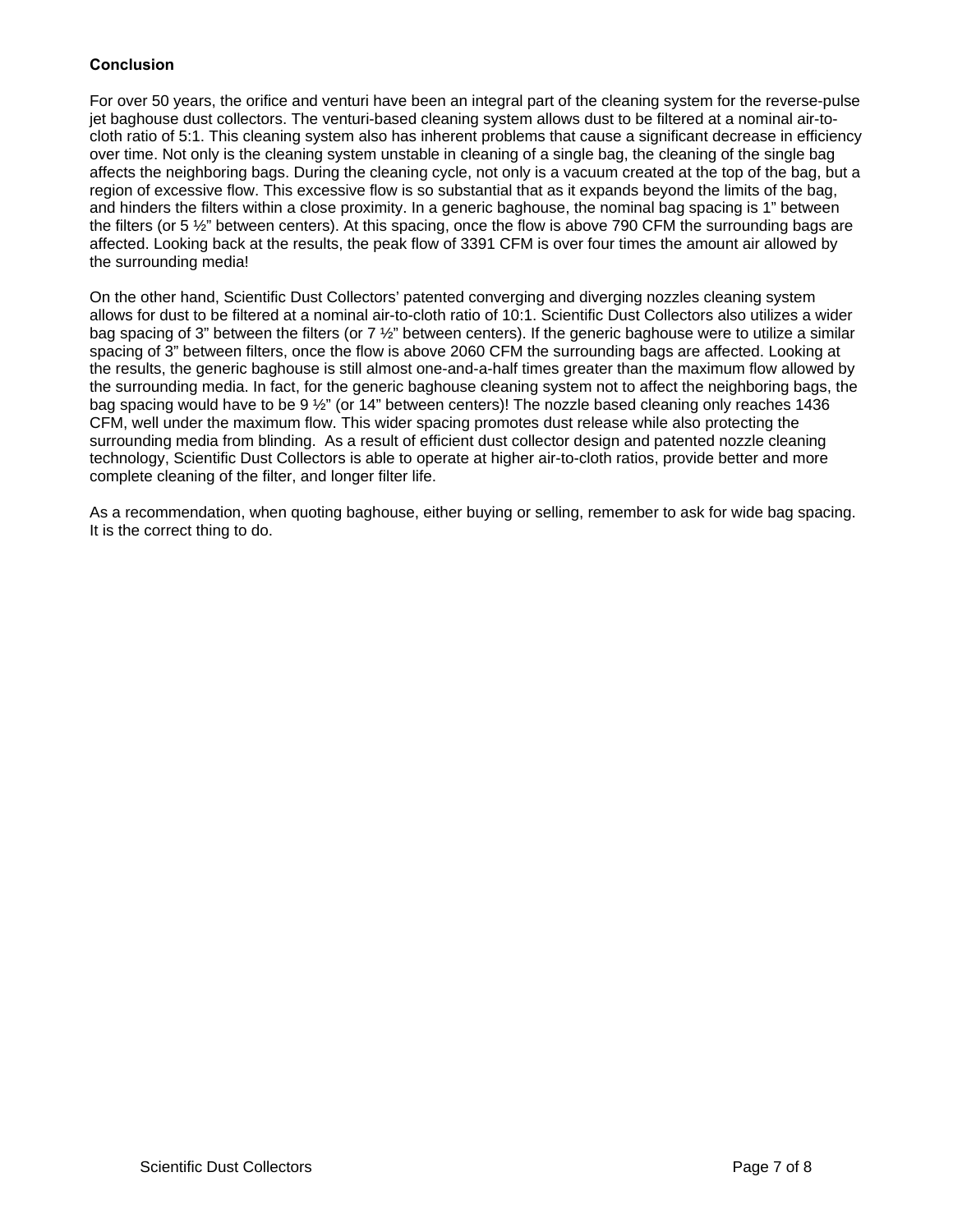#### **Conclusion**

For over 50 years, the orifice and venturi have been an integral part of the cleaning system for the reverse-pulse jet baghouse dust collectors. The venturi-based cleaning system allows dust to be filtered at a nominal air-tocloth ratio of 5:1. This cleaning system also has inherent problems that cause a significant decrease in efficiency over time. Not only is the cleaning system unstable in cleaning of a single bag, the cleaning of the single bag affects the neighboring bags. During the cleaning cycle, not only is a vacuum created at the top of the bag, but a region of excessive flow. This excessive flow is so substantial that as it expands beyond the limits of the bag, and hinders the filters within a close proximity. In a generic baghouse, the nominal bag spacing is 1" between the filters (or 5 ½" between centers). At this spacing, once the flow is above 790 CFM the surrounding bags are affected. Looking back at the results, the peak flow of 3391 CFM is over four times the amount air allowed by the surrounding media!

On the other hand, Scientific Dust Collectors' patented converging and diverging nozzles cleaning system allows for dust to be filtered at a nominal air-to-cloth ratio of 10:1. Scientific Dust Collectors also utilizes a wider bag spacing of 3" between the filters (or 7 ½" between centers). If the generic baghouse were to utilize a similar spacing of 3" between filters, once the flow is above 2060 CFM the surrounding bags are affected. Looking at the results, the generic baghouse is still almost one-and-a-half times greater than the maximum flow allowed by the surrounding media. In fact, for the generic baghouse cleaning system not to affect the neighboring bags, the bag spacing would have to be 9 ½" (or 14" between centers)! The nozzle based cleaning only reaches 1436 CFM, well under the maximum flow. This wider spacing promotes dust release while also protecting the surrounding media from blinding. As a result of efficient dust collector design and patented nozzle cleaning technology, Scientific Dust Collectors is able to operate at higher air-to-cloth ratios, provide better and more complete cleaning of the filter, and longer filter life.

As a recommendation, when quoting baghouse, either buying or selling, remember to ask for wide bag spacing. It is the correct thing to do.